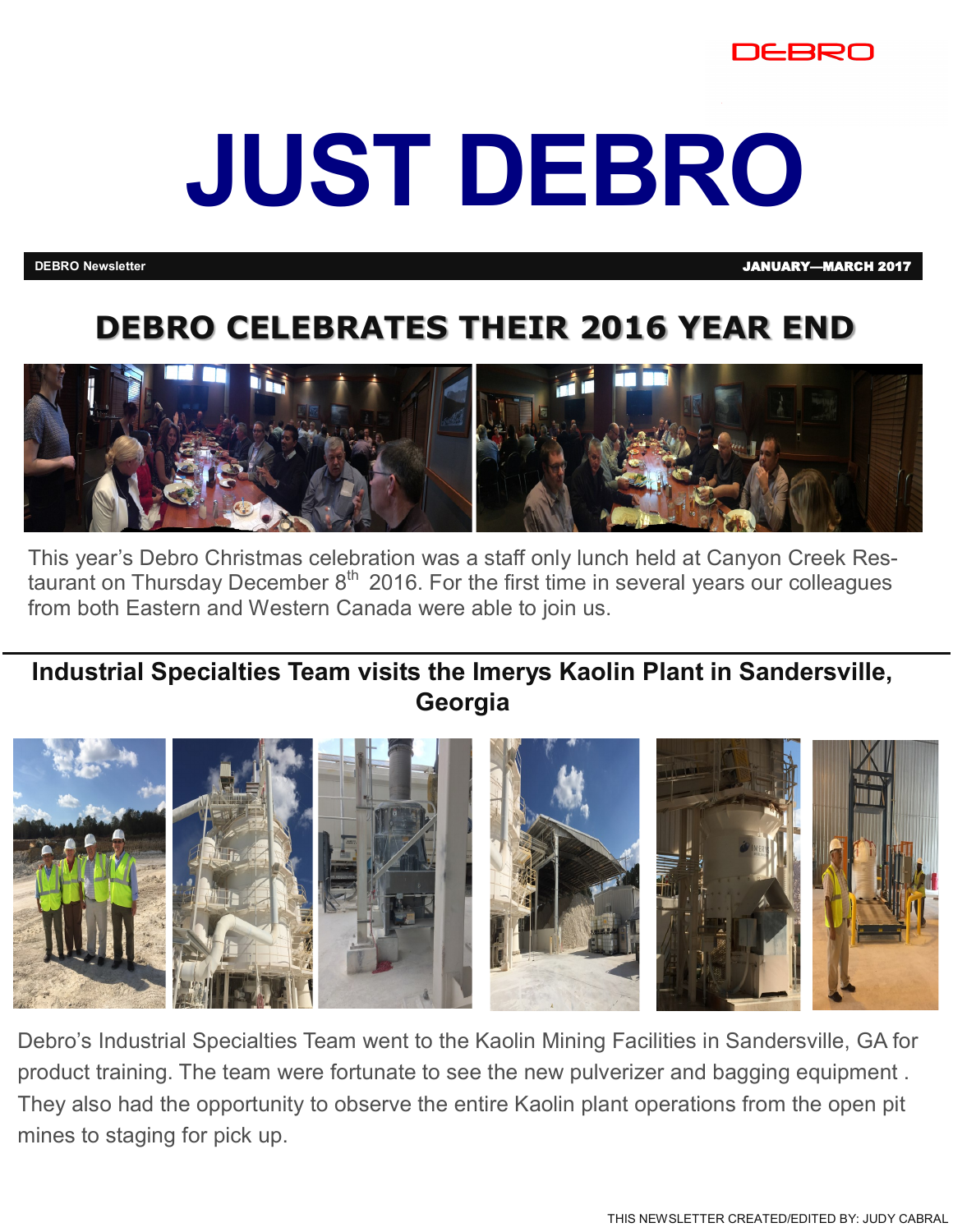

# **JUST DEBRO**

**DEBRO Newsletter** JANUARY—MARCH 2017

## **DEBRO CELEBRATES THEIR 2016 YEAR END**



This year's Debro Christmas celebration was a staff only lunch held at Canyon Creek Restaurant on Thursday December  $8<sup>th</sup>$  2016. For the first time in several years our colleagues from both Eastern and Western Canada were able to join us.

**Industrial Specialties Team visits the Imerys Kaolin Plant in Sandersville, Georgia**



Debro's Industrial Specialties Team went to the Kaolin Mining Facilities in Sandersville, GA for product training. The team were fortunate to see the new pulverizer and bagging equipment . They also had the opportunity to observe the entire Kaolin plant operations from the open pit mines to staging for pick up.